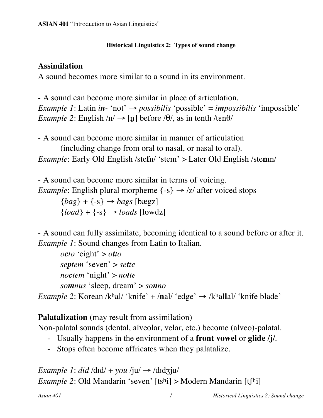#### **Historical Linguistics 2: Types of sound change**

# **Assimilation**

A sound becomes more similar to a sound in its environment.

- A sound can become more similar in place of articulation. *Example* 1: Latin *in*<sup>-</sup> 'not'  $\rightarrow$  *possibilis* 'possible' = *impossibilis* 'impossible' *Example* 2: English  $/n \rightarrow [n]$  before  $\theta$ , as in tenth /ten $\theta$ /

- A sound can become more similar in manner of articulation (including change from oral to nasal, or nasal to oral). *Example*: Early Old English /ste**f**n/ 'stem' > Later Old English /ste**m**n/

- A sound can become more similar in terms of voicing. *Example*: English plural morpheme  $\{-s\} \rightarrow \frac{z}{a}$  after voiced stops  ${bag} + {-s} \rightarrow bags$  [bægz]  ${load} + {-s} \rightarrow loads$  [lowdz]

- A sound can fully assimilate, becoming identical to a sound before or after it. *Example 1*: Sound changes from Latin to Italian.

 $\phi$ *cto* 'eight' >  $\phi$ *tto septem* 'seven' > *sette noctem* 'night' > *notte somnus* 'sleep, dream' > *sonno Example* 2: Korean /khal/ 'knife' + /nal/ 'edge'  $\rightarrow$  /khallal/ 'knife blade'

**Palatalization** (may result from assimilation)

Non-palatal sounds (dental, alveolar, velar, etc.) become (alveo)-palatal.

- Usually happens in the environment of a **front vowel** or **glide /j/**.
- Stops often become affricates when they palatalize.

*Example 1: did* /dɪd/ + *you* /ju/  $\rightarrow$  /dɪdʒju/ *Example* 2: Old Mandarin 'seven'  $[t\sin] > M$ odern Mandarin  $[t\sin]$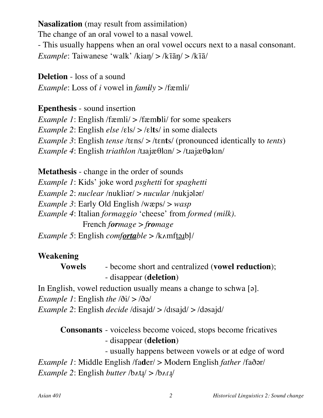**Nasalization** (may result from assimilation) The change of an oral vowel to a nasal vowel. - This usually happens when an oral vowel occurs next to a nasal consonant. *Example*: Taiwanese 'walk' /kiaŋ/ > /kīãŋ/ > /kīã/

**Deletion** - loss of a sound

*Example*: Loss of *i* vowel in  $family$  > /fæmli/

**Epenthesis** - sound insertion

*Example 1*: English /fæmli/ > /fæmbli/ for some speakers *Example 2*: English *else* /‰ls/ > /‰l**t**s/ in some dialects *Example* 3: English *tense* /tɛns/ > /tɛnts/ (pronounced identically to *tents*)  $Example 4$ : English *triathlon* /t.tajæ $\theta$ lan/ > /t.tajæ $\theta \theta$ **l**an/

**Metathesis** - change in the order of sounds *Example 1*: Kids' joke word *psghetti* for *spaghetti Example* 2: *nuclear* /nuklior/ > *nucular* /nukjolor/ *Example* 3: Early Old English /wæps/ > *wasp Example 4*: Italian *formaggio* 'cheese' from *formed (milk)*. French *formage* > *fromage Example 5*: English *comfortable* > /kʌmftəɹbl̩/

## **Weakening**

**Vowels** - become short and centralized (**vowel reduction**); - disappear (**deletion**)

In English, vowel reduction usually means a change to schwa  $\lceil 9 \rceil$ .

*Example* 1: English *the*  $\langle \delta i \rangle > \langle \delta \delta \rangle$ 

*Example* 2: English *decide* /disajd/ > /disajd/ > /dəsajd/

**Consonants** - voiceless become voiced, stops become fricatives - disappear (**deletion**) - usually happens between vowels or at edge of word *Example 1*: Middle English /fader/ > Modern English *father* /faðər/ *Example* 2: English *butter* /b $\Lambda$ t $\mu$  > /b $\Lambda$ r $\mu$ /